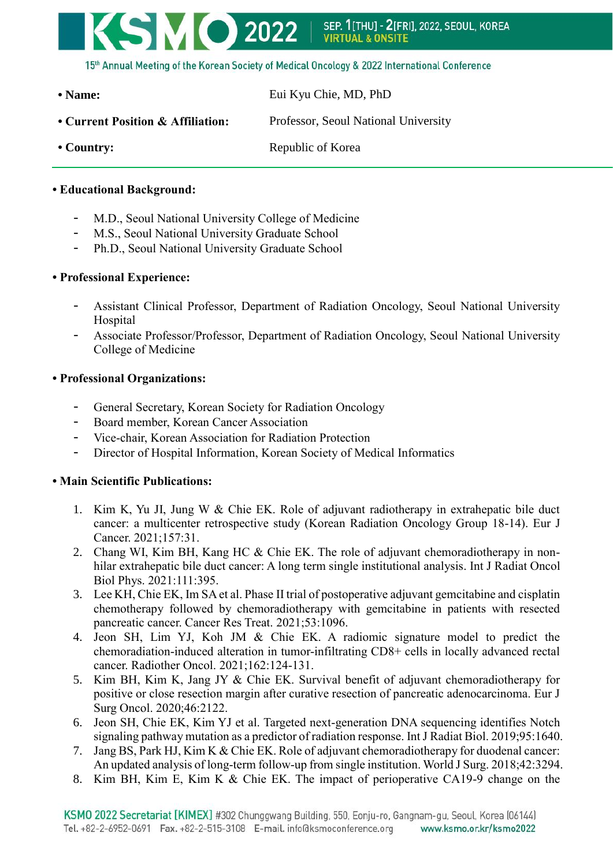

**• Name:** Eui Kyu Chie, MD, PhD • Current Position & Affiliation: Professor, Seoul National University • Country: Republic of Korea

# **• Educational Background:**

- M.D., Seoul National University College of Medicine
- M.S., Seoul National University Graduate School
- Ph.D., Seoul National University Graduate School

## **• Professional Experience:**

- Assistant Clinical Professor, Department of Radiation Oncology, Seoul National University Hospital
- Associate Professor/Professor, Department of Radiation Oncology, Seoul National University College of Medicine

## **• Professional Organizations:**

- General Secretary, Korean Society for Radiation Oncology
- Board member, Korean Cancer Association
- Vice-chair, Korean Association for Radiation Protection
- Director of Hospital Information, Korean Society of Medical Informatics

## **• Main Scientific Publications:**

- 1. Kim K, Yu JI, Jung W & Chie EK. Role of adjuvant radiotherapy in extrahepatic bile duct cancer: a multicenter retrospective study (Korean Radiation Oncology Group 18-14). Eur J Cancer. 2021;157:31.
- 2. Chang WI, Kim BH, Kang HC & Chie EK. The role of adjuvant chemoradiotherapy in nonhilar extrahepatic bile duct cancer: A long term single institutional analysis. Int J Radiat Oncol Biol Phys. 2021:111:395.
- 3. Lee KH, Chie EK, Im SA et al. Phase II trial of postoperative adjuvant gemcitabine and cisplatin chemotherapy followed by chemoradiotherapy with gemcitabine in patients with resected pancreatic cancer. Cancer Res Treat. 2021;53:1096.
- 4. Jeon SH, Lim YJ, Koh JM & Chie EK. A radiomic signature model to predict the chemoradiation-induced alteration in tumor-infiltrating CD8+ cells in locally advanced rectal cancer. Radiother Oncol. 2021;162:124-131.
- 5. Kim BH, Kim K, Jang JY & Chie EK. Survival benefit of adjuvant chemoradiotherapy for positive or close resection margin after curative resection of pancreatic adenocarcinoma. Eur J Surg Oncol. 2020;46:2122.
- 6. Jeon SH, Chie EK, Kim YJ et al. Targeted next-generation DNA sequencing identifies Notch signaling pathway mutation as a predictor of radiation response. Int J Radiat Biol. 2019;95:1640.
- 7. Jang BS, Park HJ, Kim K & Chie EK. Role of adjuvant chemoradiotherapy for duodenal cancer: An updated analysis of long-term follow-up from single institution. World J Surg. 2018;42:3294.
- 8. Kim BH, Kim E, Kim K & Chie EK. The impact of perioperative CA19-9 change on the